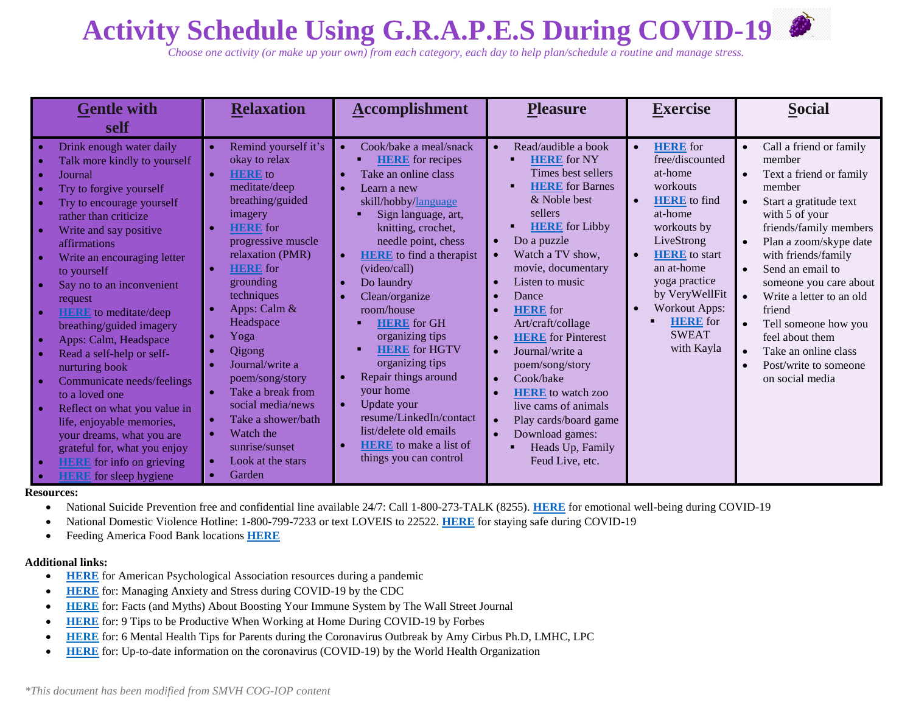## **Activity Schedule Using G.R.A.P.E.S During COVID-19**

*Choose one activity (or make up your own) from each category, each day to help plan/schedule a routine and manage stress.* 

| <b>Gentle with</b><br>self                                                                                                                                                                                                                                                                                                                                                                                                                                                                                                                                                                                                                                              | <b>Relaxation</b>                                                                                                                                                                                                                                                                                                                                                                                                                                  | <b>Accomplishment</b>                                                                                                                                                                                                                                                                                                                                                                                                                                                                                                                                      | <b>Pleasure</b>                                                                                                                                                                                                                                                                                                                                                                                                                                                                                                                          | <b>Exercise</b>                                                                                                                                                                                                                                                                                      | <b>Social</b>                                                                                                                                                                                                                                                                                                                                                                                                                                                                                            |
|-------------------------------------------------------------------------------------------------------------------------------------------------------------------------------------------------------------------------------------------------------------------------------------------------------------------------------------------------------------------------------------------------------------------------------------------------------------------------------------------------------------------------------------------------------------------------------------------------------------------------------------------------------------------------|----------------------------------------------------------------------------------------------------------------------------------------------------------------------------------------------------------------------------------------------------------------------------------------------------------------------------------------------------------------------------------------------------------------------------------------------------|------------------------------------------------------------------------------------------------------------------------------------------------------------------------------------------------------------------------------------------------------------------------------------------------------------------------------------------------------------------------------------------------------------------------------------------------------------------------------------------------------------------------------------------------------------|------------------------------------------------------------------------------------------------------------------------------------------------------------------------------------------------------------------------------------------------------------------------------------------------------------------------------------------------------------------------------------------------------------------------------------------------------------------------------------------------------------------------------------------|------------------------------------------------------------------------------------------------------------------------------------------------------------------------------------------------------------------------------------------------------------------------------------------------------|----------------------------------------------------------------------------------------------------------------------------------------------------------------------------------------------------------------------------------------------------------------------------------------------------------------------------------------------------------------------------------------------------------------------------------------------------------------------------------------------------------|
| Drink enough water daily<br>Talk more kindly to yourself<br>Journal<br>Try to forgive yourself<br>Try to encourage yourself<br>rather than criticize<br>Write and say positive<br>affirmations<br>Write an encouraging letter<br>to yourself<br>Say no to an inconvenient<br>request<br><b>HERE</b> to meditate/deep<br>breathing/guided imagery<br>Apps: Calm, Headspace<br>Read a self-help or self-<br>nurturing book<br>Communicate needs/feelings<br>to a loved one<br>Reflect on what you value in<br>life, enjoyable memories,<br>your dreams, what you are<br>grateful for, what you enjoy<br><b>HERE</b> for info on grieving<br><b>HERE</b> for sleep hygiene | Remind yourself it's<br>okay to relax<br><b>HERE</b> to<br>meditate/deep<br>breathing/guided<br>imagery<br><b>HERE</b> for<br>progressive muscle<br>relaxation (PMR)<br><b>HERE</b> for<br>grounding<br>techniques<br>Apps: Calm &<br>Headspace<br>Yoga<br>Qigong<br>Journal/write a<br>poem/song/story<br>Take a break from<br>social media/news<br>Take a shower/bath<br>Watch the<br>sunrise/sunset<br>Look at the stars<br>Garden<br>$\bullet$ | Cook/bake a meal/snack<br><b>HERE</b> for recipes<br>Take an online class<br>Learn a new<br>skill/hobby/language<br>Sign language, art,<br>knitting, crochet,<br>needle point, chess<br><b>HERE</b> to find a therapist<br>(video/call)<br>Do laundry<br>Clean/organize<br>room/house<br><b>HERE</b> for GH<br>organizing tips<br><b>HERE</b> for HGTV<br>organizing tips<br>Repair things around<br>your home<br>Update your<br>$\bullet$<br>resume/LinkedIn/contact<br>list/delete old emails<br><b>HERE</b> to make a list of<br>things you can control | Read/audible a book<br><b>HERE</b> for NY<br>Times best sellers<br><b>HERE</b> for Barnes<br>& Noble best<br>sellers<br><b>HERE</b> for Libby<br>Do a puzzle<br>$\bullet$<br>Watch a TV show,<br>movie, documentary<br>Listen to music<br>$\bullet$<br>Dance<br><b>HERE</b> for<br>Art/craft/collage<br><b>HERE</b> for Pinterest<br>Journal/write a<br>poem/song/story<br>Cook/bake<br>$\bullet$<br><b>HERE</b> to watch zoo<br>live cams of animals<br>Play cards/board game<br>Download games:<br>Heads Up, Family<br>Feud Live, etc. | <b>HERE</b> for<br>free/discounted<br>at-home<br>workouts<br><b>HERE</b> to find<br>at-home<br>workouts by<br>LiveStrong<br><b>HERE</b> to start<br>$\bullet$<br>an at-home<br>yoga practice<br>by VeryWellFit<br><b>Workout Apps:</b><br>$\bullet$<br><b>HERE</b> for<br><b>SWEAT</b><br>with Kayla | Call a friend or family<br>$\bullet$<br>member<br>Text a friend or family<br>$\bullet$<br>member<br>Start a gratitude text<br>$\bullet$<br>with 5 of your<br>friends/family members<br>Plan a zoom/skype date<br>with friends/family<br>Send an email to<br>$\bullet$<br>someone you care about<br>Write a letter to an old<br>$\bullet$<br>friend<br>Tell someone how you<br>$\bullet$<br>feel about them<br>Take an online class<br>$\bullet$<br>Post/write to someone<br>$\bullet$<br>on social media |

## **Resources:**

National Suicide Prevention free and confidential line available 24/7: Call 1-800-273-TALK (8255). **[HERE](https://suicidepreventionlifeline.org/current-events/supporting-your-emotional-well-being-during-the-covid-19-outbreak/)** for emotional well-being during COVID-19

National Domestic Violence Hotline: 1-800-799-7233 or text LOVEIS to 22522. **[HERE](https://www.thehotline.org/2020/03/13/staying-safe-during-covid-19/)** for staying safe during COVID-19

Feeding America Food Bank locations **[HERE](https://www.feedingamerica.org/find-your-local-foodbank)**

## **Additional links:**

- **[HERE](https://www.apa.org/practice/programs/dmhi/research-information/pandemics)** for American Psychological Association resources during a pandemic
- **[HERE](https://www.cdc.gov/coronavirus/2019-ncov/prepare/managing-stress-anxiety.html?CDC_AA_refVal=https%3A%2F%2Fwww.cdc.gov%2Fcoronavirus%2F2019-ncov%2Fabout%2Fcoping.html)** for: Managing Anxiety and Stress during COVID-19 by the CDC
- **[HERE](https://www.wsj.com/articles/facts-and-myths-about-boosting-your-immune-system-11584050588?utm_medium=email&utm_campaign=5e7007733d3549000184f8fc&utm_source=5daf2c3cc0c1c85036416450&agent_id=5daf2c3cc0c1c85036416450)** for: Facts (and Myths) About Boosting Your Immune System by The Wall Street Journal
- **[HERE](https://www.forbes.com/sites/bryanrobinson/2020/03/14/9-tips-to-be-productive-when-working-at-home-during-covid-19/#1b66dbe25a38)** for: 9 Tips to be Productive When Working at Home During COVID-19 by Forbes
- **[HERE](https://www.talkspace.com/blog/coronavirus-parenting-talking-to-children/)** for: 6 Mental Health Tips for Parents during the Coronavirus Outbreak by Amy Cirbus Ph.D, LMHC, LPC
- **[HERE](https://www.who.int/)** for: Up-to-date information on the coronavirus (COVID-19) by the World Health Organization